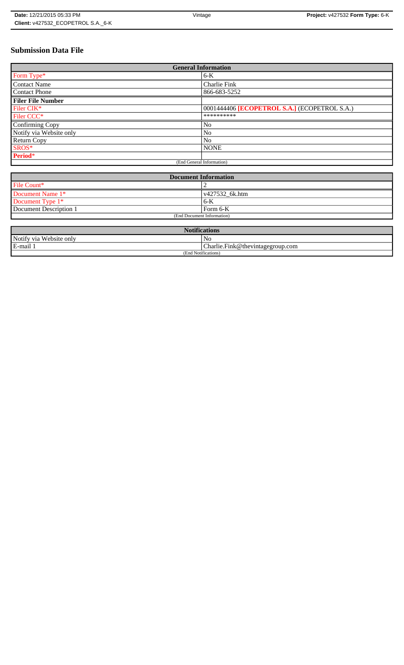# **Submission Data File**

| <b>General Information</b> |                                              |
|----------------------------|----------------------------------------------|
| Form Type*                 | $6-K$                                        |
| <b>Contact Name</b>        | Charlie Fink                                 |
| <b>Contact Phone</b>       | 866-683-5252                                 |
| <b>Filer File Number</b>   |                                              |
| Filer CIK*                 | 0001444406 [ECOPETROL S.A.] (ECOPETROL S.A.) |
| Filer CCC <sup>*</sup>     | **********                                   |
| Confirming Copy            | No                                           |
| Notify via Website only    | No                                           |
| <b>Return Copy</b>         | N <sub>o</sub>                               |
| SROS*                      | <b>NONE</b>                                  |
| Period*                    |                                              |
| (End General Information)  |                                              |

| <b>Document Information</b> |                        |
|-----------------------------|------------------------|
| File Count*                 |                        |
| Document Name 1*            | $\sqrt{427532}$ 6k.htm |
| Document Type 1*            | 6-K                    |
| Document Description 1      | l Form 6-K             |
| (End Document Information)  |                        |

| <b>Notifications</b>    |                                  |
|-------------------------|----------------------------------|
| Notify via Website only | N <sub>0</sub>                   |
| E-mail 1                | Charlie.Fink@thevintagegroup.com |
| (End Notifications)     |                                  |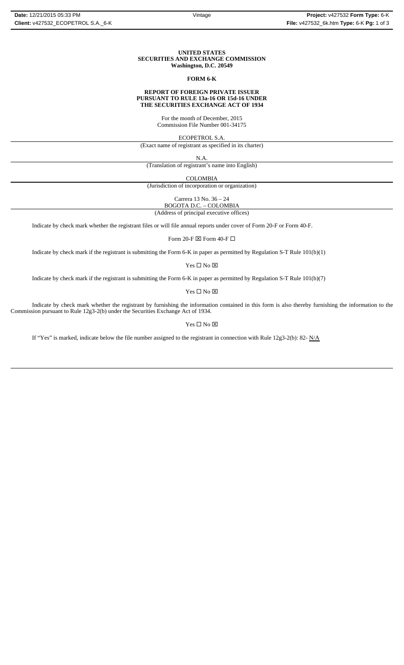### **UNITED STATES SECURITIES AND EXCHANGE COMMISSION Washington, D.C. 20549**

#### **FORM 6-K**

#### **REPORT OF FOREIGN PRIVATE ISSUER PURSUANT TO RULE 13a-16 OR 15d-16 UNDER THE SECURITIES EXCHANGE ACT OF 1934**

For the month of December, 2015 Commission File Number 001-34175

ECOPETROL S.A.

(Exact name of registrant as specified in its charter)

N.A.

(Translation of registrant's name into English)

COLOMBIA

(Jurisdiction of incorporation or organization)

Carrera 13 No. 36 – 24

BOGOTA D.C. – COLOMBIA

(Address of principal executive offices)

Indicate by check mark whether the registrant files or will file annual reports under cover of Form 20-F or Form 40-F.

Form 20-F  $\boxtimes$  Form 40-F  $\Box$ 

Indicate by check mark if the registrant is submitting the Form 6-K in paper as permitted by Regulation S-T Rule 101(b)(1)

Yes $\square$  No  $\square$ 

Indicate by check mark if the registrant is submitting the Form 6-K in paper as permitted by Regulation S-T Rule 101(b)(7)

 $Yes \Box No \boxtimes$ 

Indicate by check mark whether the registrant by furnishing the information contained in this form is also thereby furnishing the information to the Commission pursuant to Rule 12g3-2(b) under the Securities Exchange Act of 1934.

Yes  $\square$  No  $\square$ 

If "Yes" is marked, indicate below the file number assigned to the registrant in connection with Rule 12g3-2(b): 82- N/A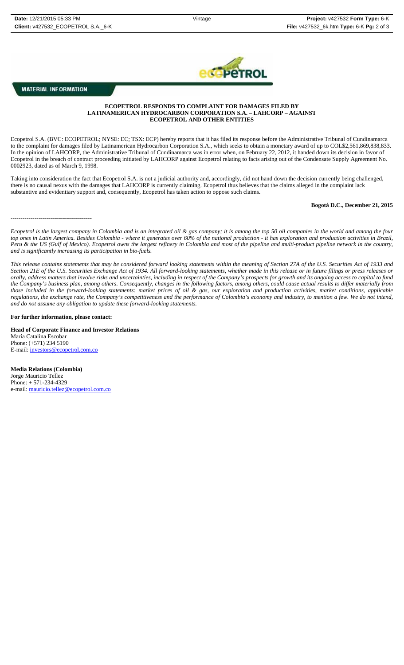

## **MATERIAL INFORMATION**

-----------------------------------------

## **ECOPETROL RESPONDS TO COMPLAINT FOR DAMAGES FILED BY LATINAMERICAN HYDROCARBON CORPORATION S.A. – LAHCORP – AGAINST ECOPETROL AND OTHER ENTITIES**

Ecopetrol S.A. (BVC: ECOPETROL; NYSE: EC; TSX: ECP) hereby reports that it has filed its response before the Administrative Tribunal of Cundinamarca to the complaint for damages filed by Latinamerican Hydrocarbon Corporation S.A., which seeks to obtain a monetary award of up to COL\$2,561,869,838,833. In the opinion of LAHCORP, the Administrative Tribunal of Cundinamarca was in error when, on February 22, 2012, it handed down its decision in favor of Ecopetrol in the breach of contract proceeding initiated by LAHCORP against Ecopetrol relating to facts arising out of the Condensate Supply Agreement No. 0002923, dated as of March 9, 1998.

Taking into consideration the fact that Ecopetrol S.A. is not a judicial authority and, accordingly, did not hand down the decision currently being challenged, there is no causal nexus with the damages that LAHCORP is currently claiming. Ecopetrol thus believes that the claims alleged in the complaint lack substantive and evidentiary support and, consequently, Ecopetrol has taken action to oppose such claims.

### **Bogotá D.C., December 21, 2015**

*Ecopetrol is the largest company in Colombia and is an integrated oil & gas company; it is among the top 50 oil companies in the world and among the four top ones in Latin America. Besides Colombia - where it generates over 60% of the national production - it has exploration and production activities in Brazil, Peru & the US (Gulf of Mexico). Ecopetrol owns the largest refinery in Colombia and most of the pipeline and multi-product pipeline network in the country, and is significantly increasing its participation in bio-fuels.*

*This release contains statements that may be considered forward looking statements within the meaning of Section 27A of the U.S. Securities Act of 1933 and Section 21E of the U.S. Securities Exchange Act of 1934. All forward-looking statements, whether made in this release or in future filings or press releases or* orally, address matters that involve risks and uncertainties, including in respect of the Company's prospects for growth and its ongoing access to capital to fund *the Company's business plan, among others. Consequently, changes in the following factors, among others, could cause actual results to differ materially from those included in the forward-looking statements: market prices of oil & gas, our exploration and production activities, market conditions, applicable regulations, the exchange rate, the Company's competitiveness and the performance of Colombia's economy and industry, to mention a few. We do not intend, and do not assume any obligation to update these forward-looking statements.*

### **For further information, please contact:**

**Head of Corporate Finance and Investor Relations** María Catalina Escobar Phone: (+571) 234 5190 E-mail: investors@ecopetrol.com.co

**Media Relations (Colombia)**  Jorge Mauricio Tellez Phone: + 571-234-4329 e-mail: mauricio.tellez@ecopetrol.com.co